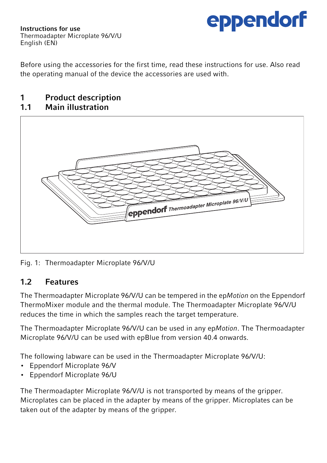

Instructions for use Thermoadapter Microplate 96/V/U English (EN)

Before using the accessories for the first time, read these instructions for use. Also read the operating manual of the device the accessories are used with.

## 1 Product description<br>11 Main illustration

#### Main illustration



Fig. 1: Thermoadapter Microplate 96/V/U

## 1.2 Features

The Thermoadapter Microplate 96/V/U can be tempered in the ep*Motion* on the Eppendorf ThermoMixer module and the thermal module. The Thermoadapter Microplate 96/V/U reduces the time in which the samples reach the target temperature.

The Thermoadapter Microplate 96/V/U can be used in any ep*Motion*. The Thermoadapter Microplate 96/V/U can be used with epBlue from version 40.4 onwards.

The following labware can be used in the Thermoadapter Microplate 96/V/U:

- Eppendorf Microplate 96/V
- Eppendorf Microplate 96/U

The Thermoadapter Microplate 96/V/U is not transported by means of the gripper. Microplates can be placed in the adapter by means of the gripper. Microplates can be taken out of the adapter by means of the gripper.